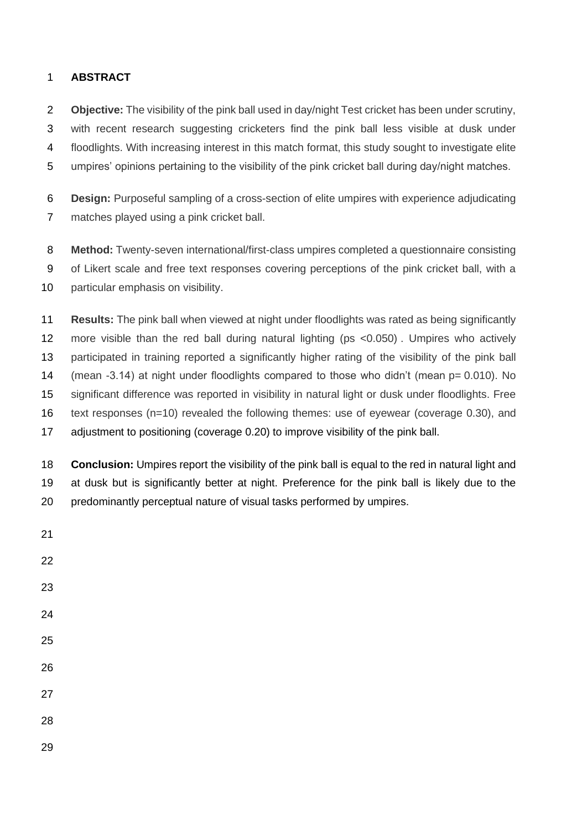# **ABSTRACT**

- **Objective:** The visibility of the pink ball used in day/night Test cricket has been under scrutiny, with recent research suggesting cricketers find the pink ball less visible at dusk under floodlights. With increasing interest in this match format, this study sought to investigate elite umpires' opinions pertaining to the visibility of the pink cricket ball during day/night matches.
- **Design:** Purposeful sampling of a cross-section of elite umpires with experience adjudicating matches played using a pink cricket ball.
- **Method:** Twenty-seven international/first-class umpires completed a questionnaire consisting of Likert scale and free text responses covering perceptions of the pink cricket ball, with a 10 particular emphasis on visibility.
- **Results:** The pink ball when viewed at night under floodlights was rated as being significantly more visible than the red ball during natural lighting (ps <0.050) . Umpires who actively 13 participated in training reported a significantly higher rating of the visibility of the pink ball 14 (mean -3.14) at night under floodlights compared to those who didn't (mean p= 0.010). No significant difference was reported in visibility in natural light or dusk under floodlights. Free text responses (n=10) revealed the following themes: use of eyewear (coverage 0.30), and adjustment to positioning (coverage 0.20) to improve visibility of the pink ball.
- **Conclusion:** Umpires report the visibility of the pink ball is equal to the red in natural light and at dusk but is significantly better at night. Preference for the pink ball is likely due to the predominantly perceptual nature of visual tasks performed by umpires.
-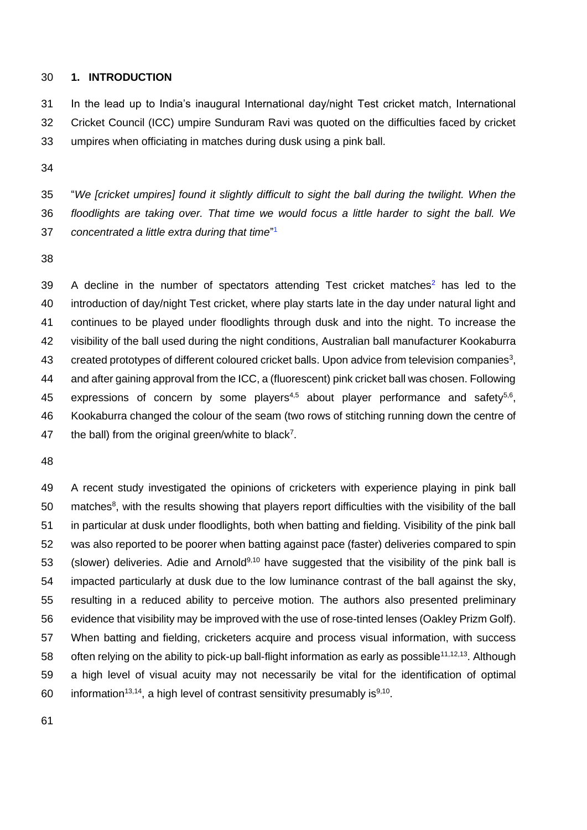### **1. INTRODUCTION**

 In the lead up to India's inaugural International day/night Test cricket match, International Cricket Council (ICC) umpire Sunduram Ravi was quoted on the difficulties faced by cricket umpires when officiating in matches during dusk using a pink ball.

 "*We [cricket umpires] found it slightly difficult to sight the ball during the twilight. When the floodlights are taking over. That time we would focus a little harder to sight the ball. We concentrated a little extra during that time*" <sup>1</sup>

 A decline in the number of spectators attending Test cricket matches<sup>2</sup> has led to the introduction of day/night Test cricket, where play starts late in the day under natural light and continues to be played under floodlights through dusk and into the night. To increase the visibility of the ball used during the night conditions, Australian ball manufacturer Kookaburra 43 created prototypes of different coloured cricket balls. Upon advice from television companies<sup>3</sup>, and after gaining approval from the ICC, a (fluorescent) pink cricket ball was chosen. Following 45 expressions of concern by some players<sup>4,5</sup> about player performance and safety<sup>5,6</sup>, Kookaburra changed the colour of the seam (two rows of stitching running down the centre of 47 the ball) from the original green/white to black<sup>7</sup>.

 A recent study investigated the opinions of cricketers with experience playing in pink ball matches<sup>8</sup>, with the results showing that players report difficulties with the visibility of the ball in particular at dusk under floodlights, both when batting and fielding. Visibility of the pink ball was also reported to be poorer when batting against pace (faster) deliveries compared to spin 53 (slower) deliveries. Adie and Arnold<sup>9,10</sup> have suggested that the visibility of the pink ball is impacted particularly at dusk due to the low luminance contrast of the ball against the sky, resulting in a reduced ability to perceive motion. The authors also presented preliminary evidence that visibility may be improved with the use of rose-tinted lenses (Oakley Prizm Golf). When batting and fielding, cricketers acquire and process visual information, with success 58 often relying on the ability to pick-up ball-flight information as early as possible<sup>11,12,13</sup>. Although a high level of visual acuity may not necessarily be vital for the identification of optimal 60 information<sup>13,14</sup>, a high level of contrast sensitivity presumably is<sup>9,10</sup>.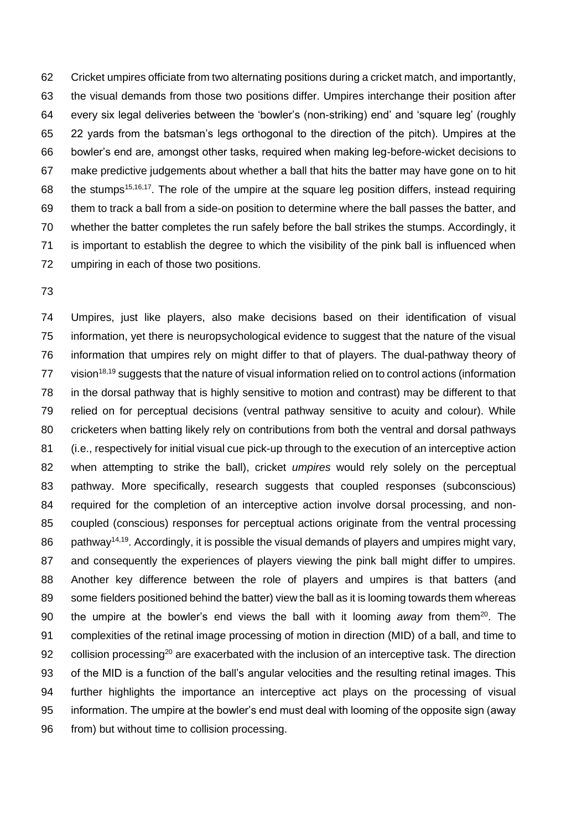Cricket umpires officiate from two alternating positions during a cricket match, and importantly, the visual demands from those two positions differ. Umpires interchange their position after every six legal deliveries between the 'bowler's (non-striking) end' and 'square leg' (roughly 22 yards from the batsman's legs orthogonal to the direction of the pitch). Umpires at the bowler's end are, amongst other tasks, required when making leg-before-wicket decisions to make predictive judgements about whether a ball that hits the batter may have gone on to hit 68 the stumps<sup>15,16,17</sup>. The role of the umpire at the square leg position differs, instead requiring them to track a ball from a side-on position to determine where the ball passes the batter, and whether the batter completes the run safely before the ball strikes the stumps. Accordingly, it is important to establish the degree to which the visibility of the pink ball is influenced when umpiring in each of those two positions.

 Umpires, just like players, also make decisions based on their identification of visual information, yet there is neuropsychological evidence to suggest that the nature of the visual information that umpires rely on might differ to that of players. The dual-pathway theory of vision<sup>18,19</sup> suggests that the nature of visual information relied on to control actions (information in the dorsal pathway that is highly sensitive to motion and contrast) may be different to that relied on for perceptual decisions (ventral pathway sensitive to acuity and colour). While cricketers when batting likely rely on contributions from both the ventral and dorsal pathways (i.e., respectively for initial visual cue pick-up through to the execution of an interceptive action when attempting to strike the ball), cricket *umpires* would rely solely on the perceptual pathway. More specifically, research suggests that coupled responses (subconscious) required for the completion of an interceptive action involve dorsal processing, and non- coupled (conscious) responses for perceptual actions originate from the ventral processing 86 pathway<sup>14,19</sup>. Accordingly, it is possible the visual demands of players and umpires might vary, and consequently the experiences of players viewing the pink ball might differ to umpires. Another key difference between the role of players and umpires is that batters (and some fielders positioned behind the batter) view the ball as it is looming towards them whereas 90 the umpire at the bowler's end views the ball with it looming *away* from them<sup>20</sup>. The complexities of the retinal image processing of motion in direction (MID) of a ball, and time to 92 collision processing<sup>20</sup> are exacerbated with the inclusion of an interceptive task. The direction of the MID is a function of the ball's angular velocities and the resulting retinal images. This further highlights the importance an interceptive act plays on the processing of visual information. The umpire at the bowler's end must deal with looming of the opposite sign (away 96 from) but without time to collision processing.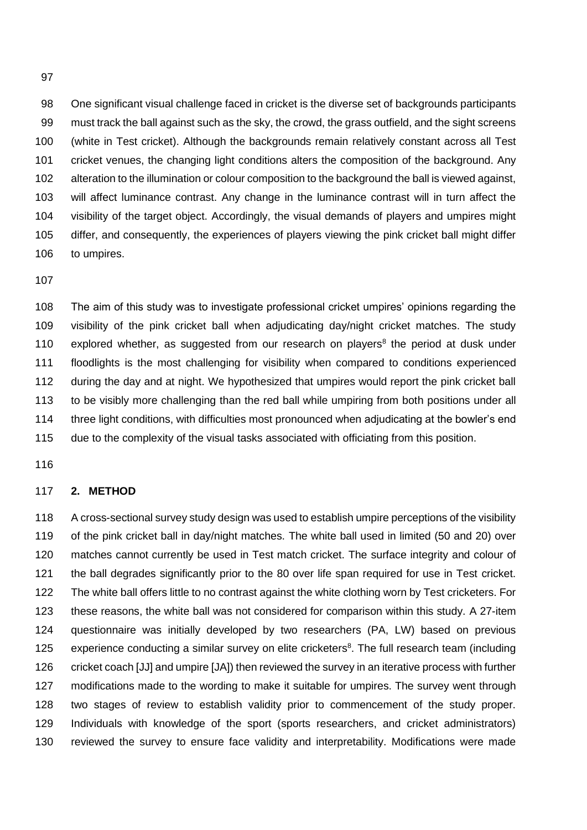One significant visual challenge faced in cricket is the diverse set of backgrounds participants must track the ball against such as the sky, the crowd, the grass outfield, and the sight screens (white in Test cricket). Although the backgrounds remain relatively constant across all Test cricket venues, the changing light conditions alters the composition of the background. Any alteration to the illumination or colour composition to the background the ball is viewed against, will affect luminance contrast. Any change in the luminance contrast will in turn affect the visibility of the target object. Accordingly, the visual demands of players and umpires might differ, and consequently, the experiences of players viewing the pink cricket ball might differ to umpires.

 The aim of this study was to investigate professional cricket umpires' opinions regarding the visibility of the pink cricket ball when adjudicating day/night cricket matches. The study 110 explored whether, as suggested from our research on players<sup>8</sup> the period at dusk under floodlights is the most challenging for visibility when compared to conditions experienced during the day and at night. We hypothesized that umpires would report the pink cricket ball to be visibly more challenging than the red ball while umpiring from both positions under all 114 three light conditions, with difficulties most pronounced when adjudicating at the bowler's end due to the complexity of the visual tasks associated with officiating from this position.

## **2. METHOD**

 A cross-sectional survey study design was used to establish umpire perceptions of the visibility of the pink cricket ball in day/night matches. The white ball used in limited (50 and 20) over matches cannot currently be used in Test match cricket. The surface integrity and colour of the ball degrades significantly prior to the 80 over life span required for use in Test cricket. The white ball offers little to no contrast against the white clothing worn by Test cricketers. For these reasons, the white ball was not considered for comparison within this study. A 27-item questionnaire was initially developed by two researchers (PA, LW) based on previous 125 experience conducting a similar survey on elite cricketers<sup>8</sup>. The full research team (including cricket coach [JJ] and umpire [JA]) then reviewed the survey in an iterative process with further modifications made to the wording to make it suitable for umpires. The survey went through two stages of review to establish validity prior to commencement of the study proper. Individuals with knowledge of the sport (sports researchers, and cricket administrators) reviewed the survey to ensure face validity and interpretability. Modifications were made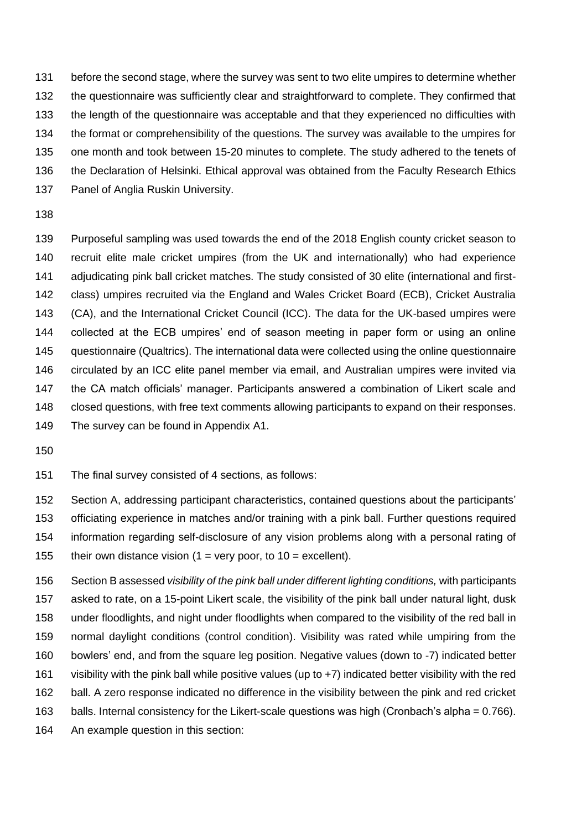before the second stage, where the survey was sent to two elite umpires to determine whether the questionnaire was sufficiently clear and straightforward to complete. They confirmed that the length of the questionnaire was acceptable and that they experienced no difficulties with the format or comprehensibility of the questions. The survey was available to the umpires for one month and took between 15-20 minutes to complete. The study adhered to the tenets of the Declaration of Helsinki. Ethical approval was obtained from the Faculty Research Ethics 137 Panel of Anglia Ruskin University.

 Purposeful sampling was used towards the end of the 2018 English county cricket season to recruit elite male cricket umpires (from the UK and internationally) who had experience adjudicating pink ball cricket matches. The study consisted of 30 elite (international and first- class) umpires recruited via the England and Wales Cricket Board (ECB), Cricket Australia (CA), and the International Cricket Council (ICC). The data for the UK-based umpires were collected at the ECB umpires' end of season meeting in paper form or using an online questionnaire (Qualtrics). The international data were collected using the online questionnaire circulated by an ICC elite panel member via email, and Australian umpires were invited via the CA match officials' manager. Participants answered a combination of Likert scale and closed questions, with free text comments allowing participants to expand on their responses. The survey can be found in Appendix A1.

The final survey consisted of 4 sections, as follows:

 Section A, addressing participant characteristics, contained questions about the participants' officiating experience in matches and/or training with a pink ball. Further questions required information regarding self-disclosure of any vision problems along with a personal rating of 155 their own distance vision  $(1 = \text{very poor}, \text{to } 10 = \text{excellent})$ .

 Section B assessed *visibility of the pink ball under different lighting conditions,* with participants asked to rate, on a 15-point Likert scale, the visibility of the pink ball under natural light, dusk under floodlights, and night under floodlights when compared to the visibility of the red ball in normal daylight conditions (control condition). Visibility was rated while umpiring from the bowlers' end, and from the square leg position. Negative values (down to -7) indicated better visibility with the pink ball while positive values (up to +7) indicated better visibility with the red ball. A zero response indicated no difference in the visibility between the pink and red cricket balls. Internal consistency for the Likert-scale questions was high (Cronbach's alpha = 0.766). An example question in this section: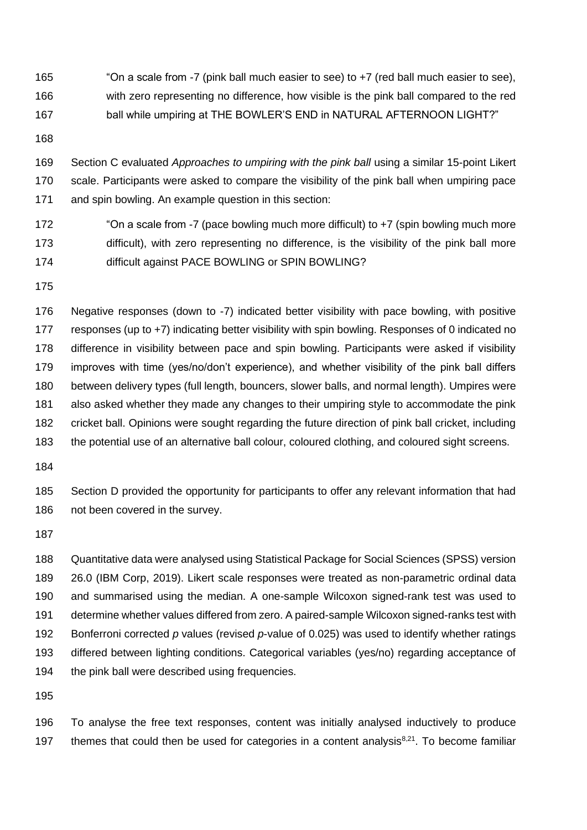"On a scale from -7 (pink ball much easier to see) to +7 (red ball much easier to see), with zero representing no difference, how visible is the pink ball compared to the red ball while umpiring at THE BOWLER'S END in NATURAL AFTERNOON LIGHT?"

 Section C evaluated *Approaches to umpiring with the pink ball* using a similar 15-point Likert scale. Participants were asked to compare the visibility of the pink ball when umpiring pace and spin bowling. An example question in this section:

- 172 "On a scale from -7 (pace bowling much more difficult) to +7 (spin bowling much more 173 difficult), with zero representing no difference, is the visibility of the pink ball more difficult against PACE BOWLING or SPIN BOWLING?
- 

 Negative responses (down to -7) indicated better visibility with pace bowling, with positive responses (up to +7) indicating better visibility with spin bowling. Responses of 0 indicated no difference in visibility between pace and spin bowling. Participants were asked if visibility improves with time (yes/no/don't experience), and whether visibility of the pink ball differs between delivery types (full length, bouncers, slower balls, and normal length). Umpires were also asked whether they made any changes to their umpiring style to accommodate the pink cricket ball. Opinions were sought regarding the future direction of pink ball cricket, including the potential use of an alternative ball colour, coloured clothing, and coloured sight screens.

 Section D provided the opportunity for participants to offer any relevant information that had not been covered in the survey.

 Quantitative data were analysed using Statistical Package for Social Sciences (SPSS) version 26.0 (IBM Corp, 2019). Likert scale responses were treated as non-parametric ordinal data and summarised using the median. A one-sample Wilcoxon signed-rank test was used to determine whether values differed from zero. A paired-sample Wilcoxon signed-ranks test with Bonferroni corrected *p* values (revised *p*-value of 0.025) was used to identify whether ratings differed between lighting conditions. Categorical variables (yes/no) regarding acceptance of 194 the pink ball were described using frequencies.

 To analyse the free text responses, content was initially analysed inductively to produce 197 themes that could then be used for categories in a content analysis $8,21$ . To become familiar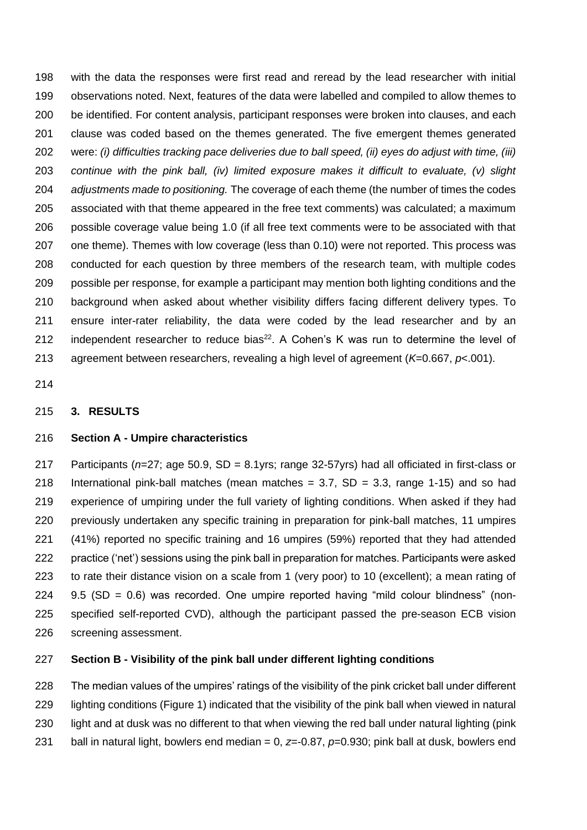with the data the responses were first read and reread by the lead researcher with initial observations noted. Next, features of the data were labelled and compiled to allow themes to be identified. For content analysis, participant responses were broken into clauses, and each clause was coded based on the themes generated. The five emergent themes generated were: *(i) difficulties tracking pace deliveries due to ball speed, (ii) eyes do adjust with time, (iii) continue with the pink ball, (iv) limited exposure makes it difficult to evaluate, (v) slight adjustments made to positioning.* The coverage of each theme (the number of times the codes associated with that theme appeared in the free text comments) was calculated; a maximum possible coverage value being 1.0 (if all free text comments were to be associated with that one theme). Themes with low coverage (less than 0.10) were not reported. This process was conducted for each question by three members of the research team, with multiple codes possible per response, for example a participant may mention both lighting conditions and the background when asked about whether visibility differs facing different delivery types. To ensure inter-rater reliability, the data were coded by the lead researcher and by an 212 independent researcher to reduce bias<sup>22</sup>. A Cohen's K was run to determine the level of agreement between researchers, revealing a high level of agreement (*K*=0.667, *p*<.001).

### **3. RESULTS**

## **Section A - Umpire characteristics**

 Participants (*n*=27; age 50.9, SD = 8.1yrs; range 32-57yrs) had all officiated in first-class or 218 International pink-ball matches (mean matches  $= 3.7$ , SD  $= 3.3$ , range 1-15) and so had experience of umpiring under the full variety of lighting conditions. When asked if they had previously undertaken any specific training in preparation for pink-ball matches, 11 umpires (41%) reported no specific training and 16 umpires (59%) reported that they had attended practice ('net') sessions using the pink ball in preparation for matches. Participants were asked to rate their distance vision on a scale from 1 (very poor) to 10 (excellent); a mean rating of 9.5 (SD = 0.6) was recorded. One umpire reported having "mild colour blindness" (non- specified self-reported CVD), although the participant passed the pre-season ECB vision screening assessment.

## **Section B - Visibility of the pink ball under different lighting conditions**

 The median values of the umpires' ratings of the visibility of the pink cricket ball under different lighting conditions (Figure 1) indicated that the visibility of the pink ball when viewed in natural 230 light and at dusk was no different to that when viewing the red ball under natural lighting (pink

ball in natural light, bowlers end median = 0, *z*=-0.87, *p*=0.930; pink ball at dusk, bowlers end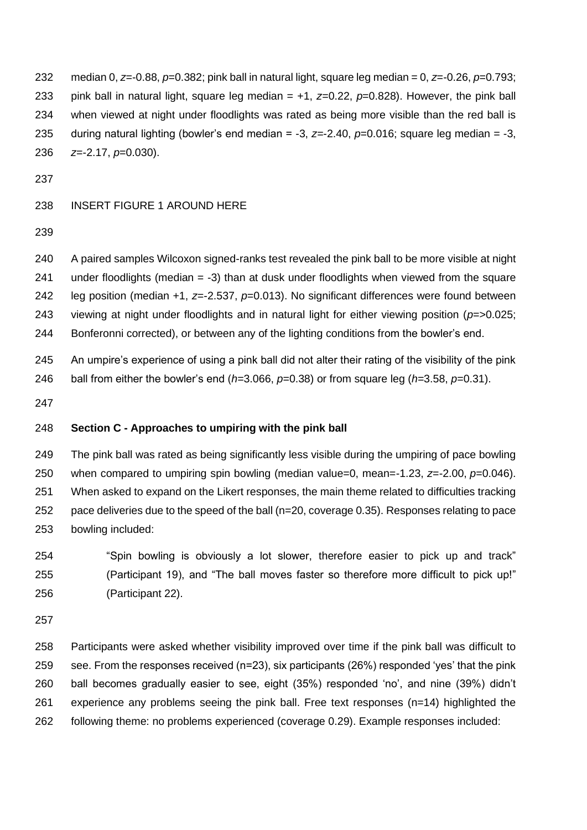median 0, *z*=-0.88, *p*=0.382; pink ball in natural light, square leg median = 0, *z*=-0.26, *p*=0.793; pink ball in natural light, square leg median = +1, *z*=0.22, *p*=0.828). However, the pink ball when viewed at night under floodlights was rated as being more visible than the red ball is during natural lighting (bowler's end median = -3, *z=*-2.40, *p*=0.016; square leg median = -3, *z*=-2.17, *p*=0.030).

#### INSERT FIGURE 1 AROUND HERE

 A paired samples Wilcoxon signed-ranks test revealed the pink ball to be more visible at night under floodlights (median = -3) than at dusk under floodlights when viewed from the square leg position (median +1, *z*=-2.537, *p*=0.013). No significant differences were found between viewing at night under floodlights and in natural light for either viewing position (*p*=>0.025; Bonferonni corrected), or between any of the lighting conditions from the bowler's end.

 An umpire's experience of using a pink ball did not alter their rating of the visibility of the pink ball from either the bowler's end (*h=*3.066, *p*=0.38) or from square leg (*h=*3.58, *p*=0.31).

## **Section C - Approaches to umpiring with the pink ball**

 The pink ball was rated as being significantly less visible during the umpiring of pace bowling when compared to umpiring spin bowling (median value=0, mean=-1.23, *z*=-2.00, *p*=0.046). When asked to expand on the Likert responses, the main theme related to difficulties tracking pace deliveries due to the speed of the ball (n=20, coverage 0.35). Responses relating to pace bowling included:

 "Spin bowling is obviously a lot slower, therefore easier to pick up and track" (Participant 19), and "The ball moves faster so therefore more difficult to pick up!" (Participant 22).

 Participants were asked whether visibility improved over time if the pink ball was difficult to see. From the responses received (n=23), six participants (26%) responded 'yes' that the pink ball becomes gradually easier to see, eight (35%) responded 'no', and nine (39%) didn't experience any problems seeing the pink ball. Free text responses (n=14) highlighted the following theme: no problems experienced (coverage 0.29). Example responses included: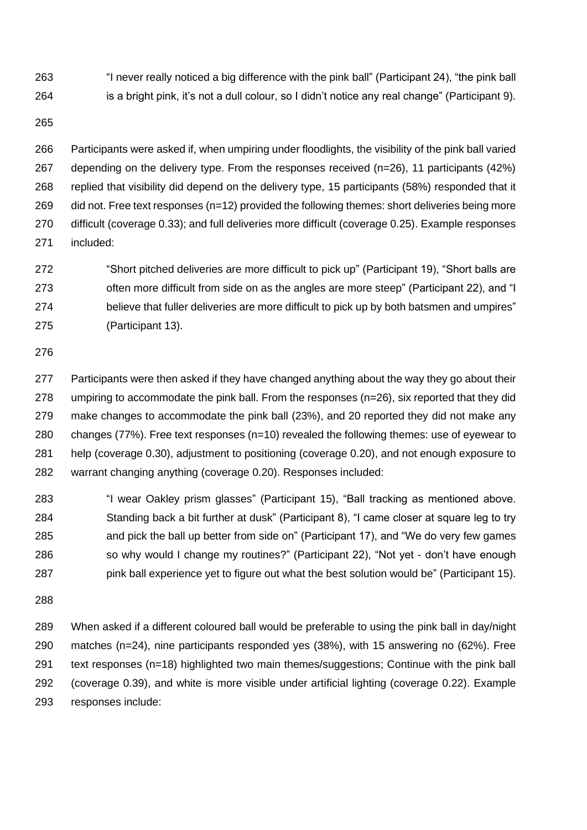"I never really noticed a big difference with the pink ball" (Participant 24), "the pink ball is a bright pink, it's not a dull colour, so I didn't notice any real change" (Participant 9).

 Participants were asked if, when umpiring under floodlights, the visibility of the pink ball varied depending on the delivery type. From the responses received (n=26), 11 participants (42%) replied that visibility did depend on the delivery type, 15 participants (58%) responded that it 269 did not. Free text responses (n=12) provided the following themes: short deliveries being more difficult (coverage 0.33); and full deliveries more difficult (coverage 0.25). Example responses included:

 "Short pitched deliveries are more difficult to pick up" (Participant 19), "Short balls are often more difficult from side on as the angles are more steep" (Participant 22), and "I believe that fuller deliveries are more difficult to pick up by both batsmen and umpires" (Participant 13).

 Participants were then asked if they have changed anything about the way they go about their umpiring to accommodate the pink ball. From the responses (n=26), six reported that they did make changes to accommodate the pink ball (23%), and 20 reported they did not make any changes (77%). Free text responses (n=10) revealed the following themes: use of eyewear to help (coverage 0.30), adjustment to positioning (coverage 0.20), and not enough exposure to warrant changing anything (coverage 0.20). Responses included:

 "I wear Oakley prism glasses" (Participant 15), "Ball tracking as mentioned above. Standing back a bit further at dusk" (Participant 8), "I came closer at square leg to try and pick the ball up better from side on" (Participant 17), and "We do very few games 286 so why would I change my routines?" (Participant 22), "Not yet - don't have enough pink ball experience yet to figure out what the best solution would be" (Participant 15).

 When asked if a different coloured ball would be preferable to using the pink ball in day/night matches (n=24), nine participants responded yes (38%), with 15 answering no (62%). Free text responses (n=18) highlighted two main themes/suggestions; Continue with the pink ball (coverage 0.39), and white is more visible under artificial lighting (coverage 0.22). Example responses include: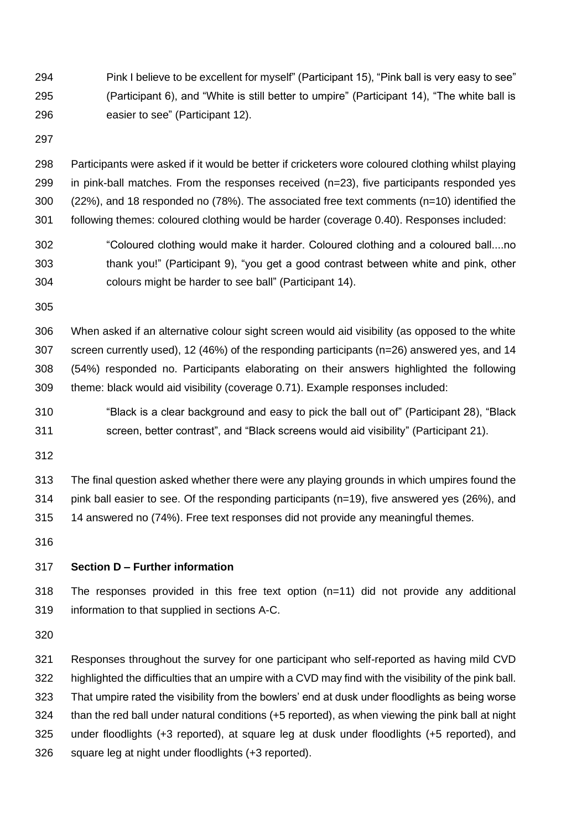Pink I believe to be excellent for myself" (Participant 15), "Pink ball is very easy to see" (Participant 6), and "White is still better to umpire" (Participant 14), "The white ball is easier to see" (Participant 12).

 Participants were asked if it would be better if cricketers wore coloured clothing whilst playing in pink-ball matches. From the responses received (n=23), five participants responded yes (22%), and 18 responded no (78%). The associated free text comments (n=10) identified the following themes: coloured clothing would be harder (coverage 0.40). Responses included:

 "Coloured clothing would make it harder. Coloured clothing and a coloured ball....no thank you!" (Participant 9), "you get a good contrast between white and pink, other colours might be harder to see ball" (Participant 14).

 When asked if an alternative colour sight screen would aid visibility (as opposed to the white screen currently used), 12 (46%) of the responding participants (n=26) answered yes, and 14 (54%) responded no. Participants elaborating on their answers highlighted the following theme: black would aid visibility (coverage 0.71). Example responses included:

- "Black is a clear background and easy to pick the ball out of" (Participant 28), "Black screen, better contrast", and "Black screens would aid visibility" (Participant 21).
- 

 The final question asked whether there were any playing grounds in which umpires found the pink ball easier to see. Of the responding participants (n=19), five answered yes (26%), and 14 answered no (74%). Free text responses did not provide any meaningful themes.

## **Section D – Further information**

 The responses provided in this free text option (n=11) did not provide any additional information to that supplied in sections A-C.

 Responses throughout the survey for one participant who self-reported as having mild CVD highlighted the difficulties that an umpire with a CVD may find with the visibility of the pink ball. That umpire rated the visibility from the bowlers' end at dusk under floodlights as being worse than the red ball under natural conditions (+5 reported), as when viewing the pink ball at night under floodlights (+3 reported), at square leg at dusk under floodlights (+5 reported), and square leg at night under floodlights (+3 reported).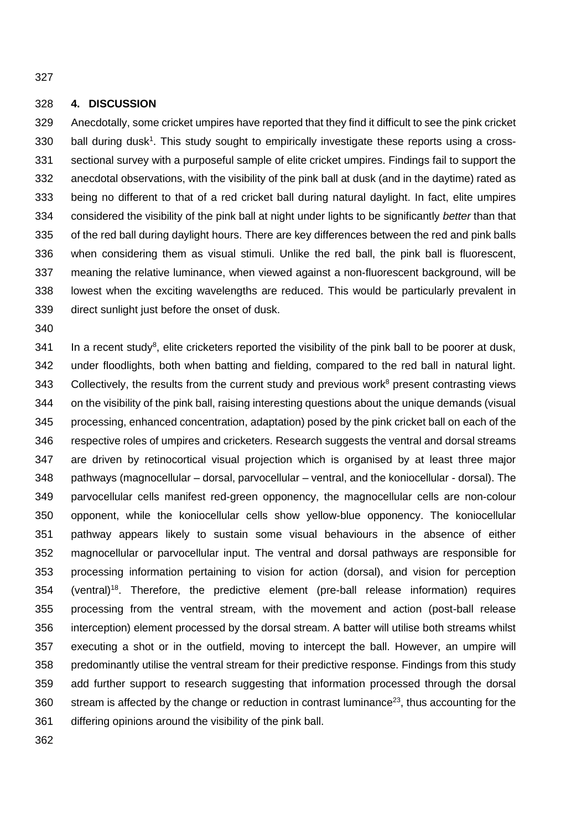## **4. DISCUSSION**

 Anecdotally, some cricket umpires have reported that they find it difficult to see the pink cricket ball during dusk<sup>1</sup>. This study sought to empirically investigate these reports using a cross- sectional survey with a purposeful sample of elite cricket umpires. Findings fail to support the anecdotal observations, with the visibility of the pink ball at dusk (and in the daytime) rated as being no different to that of a red cricket ball during natural daylight. In fact, elite umpires considered the visibility of the pink ball at night under lights to be significantly *better* than that of the red ball during daylight hours. There are key differences between the red and pink balls when considering them as visual stimuli. Unlike the red ball, the pink ball is fluorescent, meaning the relative luminance, when viewed against a non-fluorescent background, will be lowest when the exciting wavelengths are reduced. This would be particularly prevalent in direct sunlight just before the onset of dusk.

 In a recent study<sup>8</sup>, elite cricketers reported the visibility of the pink ball to be poorer at dusk, under floodlights, both when batting and fielding, compared to the red ball in natural light. 343 Collectively, the results from the current study and previous work present contrasting views on the visibility of the pink ball, raising interesting questions about the unique demands (visual processing, enhanced concentration, adaptation) posed by the pink cricket ball on each of the respective roles of umpires and cricketers. Research suggests the ventral and dorsal streams are driven by retinocortical visual projection which is organised by at least three major pathways (magnocellular – dorsal, parvocellular – ventral, and the koniocellular - dorsal). The parvocellular cells manifest red-green opponency, the magnocellular cells are non-colour opponent, while the koniocellular cells show yellow-blue opponency. The koniocellular pathway appears likely to sustain some visual behaviours in the absence of either magnocellular or parvocellular input. The ventral and dorsal pathways are responsible for processing information pertaining to vision for action (dorsal), and vision for perception 354 (ventral)<sup>18</sup>. Therefore, the predictive element (pre-ball release information) requires processing from the ventral stream, with the movement and action (post-ball release interception) element processed by the dorsal stream. A batter will utilise both streams whilst executing a shot or in the outfield, moving to intercept the ball. However, an umpire will predominantly utilise the ventral stream for their predictive response. Findings from this study add further support to research suggesting that information processed through the dorsal stream is affected by the change or reduction in contrast luminance<sup>23</sup>, thus accounting for the differing opinions around the visibility of the pink ball.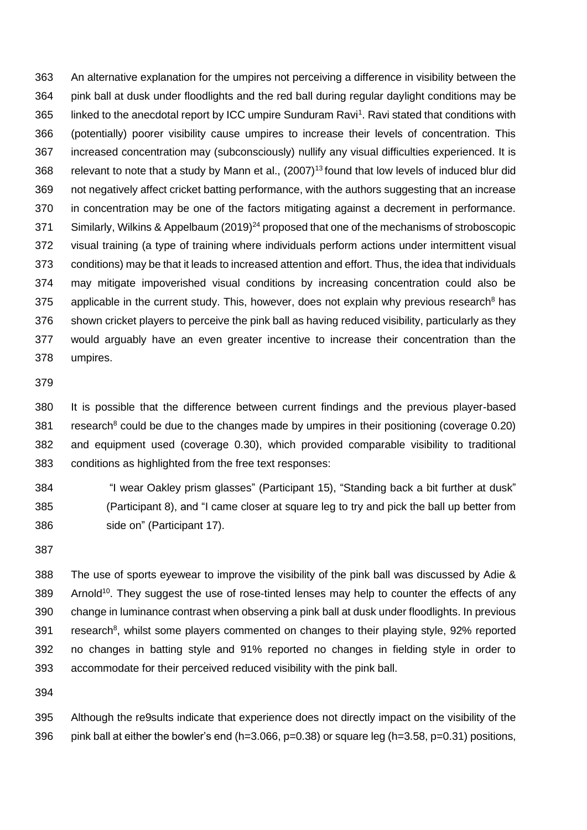An alternative explanation for the umpires not perceiving a difference in visibility between the pink ball at dusk under floodlights and the red ball during regular daylight conditions may be 365 linked to the anecdotal report by ICC umpire Sunduram Ravi<sup>1</sup>. Ravi stated that conditions with (potentially) poorer visibility cause umpires to increase their levels of concentration. This increased concentration may (subconsciously) nullify any visual difficulties experienced. It is 368 relevant to note that a study by Mann et al.,  $(2007)^{13}$  found that low levels of induced blur did not negatively affect cricket batting performance, with the authors suggesting that an increase in concentration may be one of the factors mitigating against a decrement in performance. 371 Similarly, Wilkins & Appelbaum (2019)<sup>24</sup> proposed that one of the mechanisms of stroboscopic visual training (a type of training where individuals perform actions under intermittent visual conditions) may be that it leads to increased attention and effort. Thus, the idea that individuals may mitigate impoverished visual conditions by increasing concentration could also be 375 applicable in the current study. This, however, does not explain why previous research<sup>8</sup> has shown cricket players to perceive the pink ball as having reduced visibility, particularly as they would arguably have an even greater incentive to increase their concentration than the umpires.

 It is possible that the difference between current findings and the previous player-based 381 research<sup>8</sup> could be due to the changes made by umpires in their positioning (coverage 0.20) and equipment used (coverage 0.30), which provided comparable visibility to traditional conditions as highlighted from the free text responses:

 "I wear Oakley prism glasses" (Participant 15), "Standing back a bit further at dusk" (Participant 8), and "I came closer at square leg to try and pick the ball up better from side on" (Participant 17).

 The use of sports eyewear to improve the visibility of the pink ball was discussed by Adie & 389 Arnold<sup>10</sup>. They suggest the use of rose-tinted lenses may help to counter the effects of any change in luminance contrast when observing a pink ball at dusk under floodlights. In previous 391 research<sup>8</sup>, whilst some players commented on changes to their playing style, 92% reported no changes in batting style and 91% reported no changes in fielding style in order to accommodate for their perceived reduced visibility with the pink ball.

 Although the re9sults indicate that experience does not directly impact on the visibility of the 396 pink ball at either the bowler's end (h=3.066, p=0.38) or square leg (h=3.58, p=0.31) positions,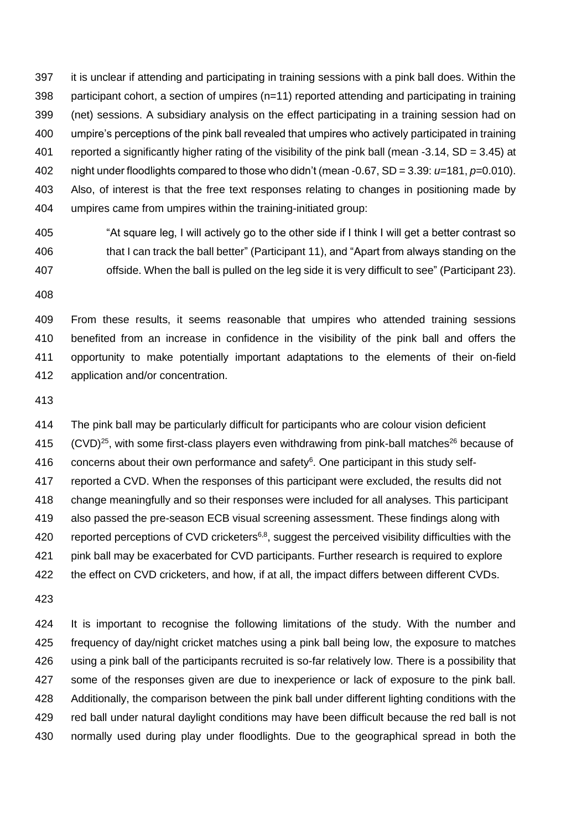it is unclear if attending and participating in training sessions with a pink ball does. Within the participant cohort, a section of umpires (n=11) reported attending and participating in training (net) sessions. A subsidiary analysis on the effect participating in a training session had on umpire's perceptions of the pink ball revealed that umpires who actively participated in training reported a significantly higher rating of the visibility of the pink ball (mean -3.14, SD = 3.45) at night under floodlights compared to those who didn't (mean -0.67, SD = 3.39: *u=*181, *p=*0.010). Also, of interest is that the free text responses relating to changes in positioning made by umpires came from umpires within the training-initiated group:

 "At square leg, I will actively go to the other side if I think I will get a better contrast so that I can track the ball better" (Participant 11), and "Apart from always standing on the offside. When the ball is pulled on the leg side it is very difficult to see" (Participant 23).

 From these results, it seems reasonable that umpires who attended training sessions benefited from an increase in confidence in the visibility of the pink ball and offers the opportunity to make potentially important adaptations to the elements of their on-field application and/or concentration.

 The pink ball may be particularly difficult for participants who are colour vision deficient  $(CVD)^{25}$ , with some first-class players even withdrawing from pink-ball matches<sup>26</sup> because of 416 concerns about their own performance and safety. One participant in this study self- reported a CVD. When the responses of this participant were excluded, the results did not change meaningfully and so their responses were included for all analyses. This participant also passed the pre-season ECB visual screening assessment. These findings along with 420 reported perceptions of CVD cricketers<sup>6,8</sup>, suggest the perceived visibility difficulties with the pink ball may be exacerbated for CVD participants. Further research is required to explore the effect on CVD cricketers, and how, if at all, the impact differs between different CVDs. 

 It is important to recognise the following limitations of the study. With the number and 425 frequency of day/night cricket matches using a pink ball being low, the exposure to matches using a pink ball of the participants recruited is so-far relatively low. There is a possibility that some of the responses given are due to inexperience or lack of exposure to the pink ball. 428 Additionally, the comparison between the pink ball under different lighting conditions with the red ball under natural daylight conditions may have been difficult because the red ball is not normally used during play under floodlights. Due to the geographical spread in both the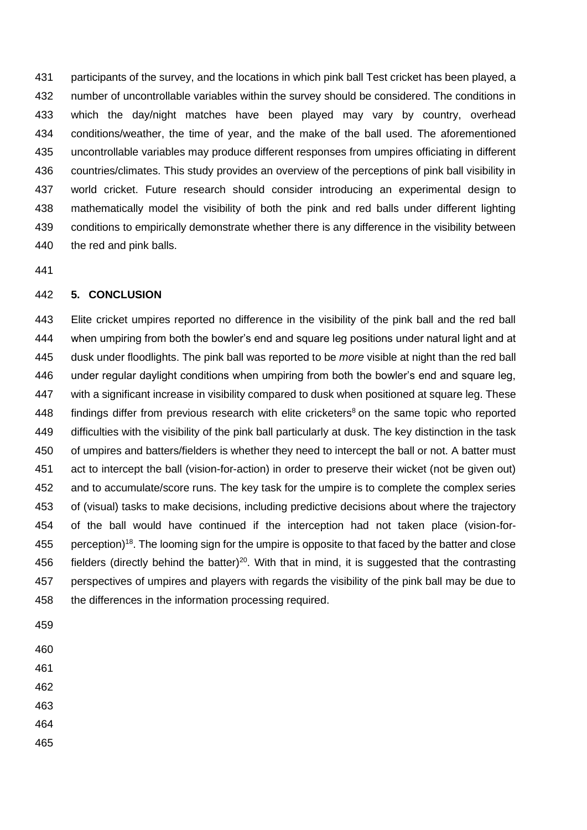participants of the survey, and the locations in which pink ball Test cricket has been played, a number of uncontrollable variables within the survey should be considered. The conditions in which the day/night matches have been played may vary by country, overhead conditions/weather, the time of year, and the make of the ball used. The aforementioned uncontrollable variables may produce different responses from umpires officiating in different countries/climates. This study provides an overview of the perceptions of pink ball visibility in world cricket. Future research should consider introducing an experimental design to mathematically model the visibility of both the pink and red balls under different lighting conditions to empirically demonstrate whether there is any difference in the visibility between the red and pink balls.

## **5. CONCLUSION**

 Elite cricket umpires reported no difference in the visibility of the pink ball and the red ball when umpiring from both the bowler's end and square leg positions under natural light and at dusk under floodlights. The pink ball was reported to be *more* visible at night than the red ball under regular daylight conditions when umpiring from both the bowler's end and square leg, with a significant increase in visibility compared to dusk when positioned at square leg. These 448 findings differ from previous research with elite cricketers<sup>8</sup> on the same topic who reported difficulties with the visibility of the pink ball particularly at dusk. The key distinction in the task of umpires and batters/fielders is whether they need to intercept the ball or not. A batter must act to intercept the ball (vision-for-action) in order to preserve their wicket (not be given out) and to accumulate/score runs. The key task for the umpire is to complete the complex series of (visual) tasks to make decisions, including predictive decisions about where the trajectory of the ball would have continued if the interception had not taken place (vision-for-455 perception)<sup>18</sup>. The looming sign for the umpire is opposite to that faced by the batter and close 456 fielders (directly behind the batter)<sup>20</sup>. With that in mind, it is suggested that the contrasting perspectives of umpires and players with regards the visibility of the pink ball may be due to the differences in the information processing required.

- 
- 
- 
- 
- 
- 
-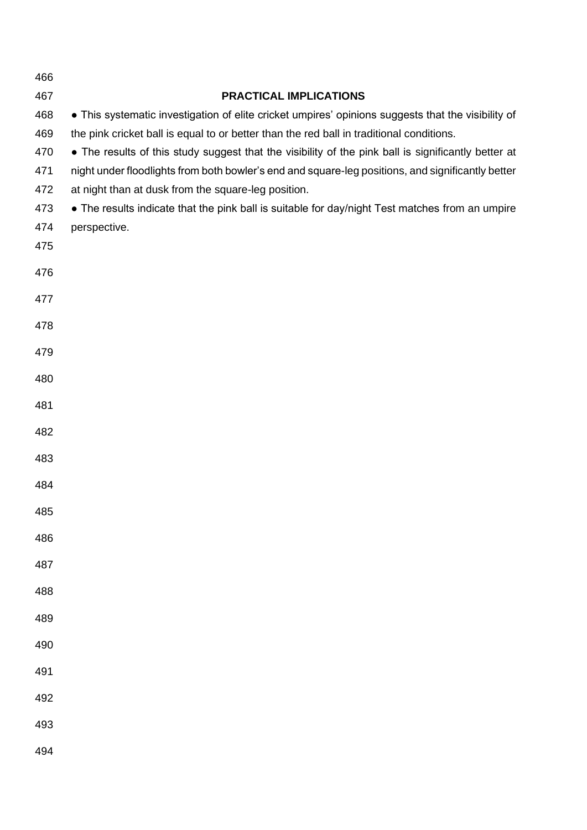| 466        |                                                                                                                                                                                                |
|------------|------------------------------------------------------------------------------------------------------------------------------------------------------------------------------------------------|
| 467        | <b>PRACTICAL IMPLICATIONS</b>                                                                                                                                                                  |
| 468<br>469 | • This systematic investigation of elite cricket umpires' opinions suggests that the visibility of<br>the pink cricket ball is equal to or better than the red ball in traditional conditions. |
| 470        | • The results of this study suggest that the visibility of the pink ball is significantly better at                                                                                            |
| 471        | night under floodlights from both bowler's end and square-leg positions, and significantly better                                                                                              |
| 472        | at night than at dusk from the square-leg position.                                                                                                                                            |
| 473        | • The results indicate that the pink ball is suitable for day/night Test matches from an umpire                                                                                                |
| 474        | perspective.                                                                                                                                                                                   |
| 475        |                                                                                                                                                                                                |
| 476        |                                                                                                                                                                                                |
| 477        |                                                                                                                                                                                                |
| 478        |                                                                                                                                                                                                |
| 479        |                                                                                                                                                                                                |
| 480        |                                                                                                                                                                                                |
| 481        |                                                                                                                                                                                                |
| 482        |                                                                                                                                                                                                |
| 483        |                                                                                                                                                                                                |
| 484        |                                                                                                                                                                                                |
| 485        |                                                                                                                                                                                                |
| 486        |                                                                                                                                                                                                |
| 487        |                                                                                                                                                                                                |
| 488        |                                                                                                                                                                                                |
| 489        |                                                                                                                                                                                                |
| 490        |                                                                                                                                                                                                |
| 491        |                                                                                                                                                                                                |
| 492        |                                                                                                                                                                                                |
| 493        |                                                                                                                                                                                                |
| 494        |                                                                                                                                                                                                |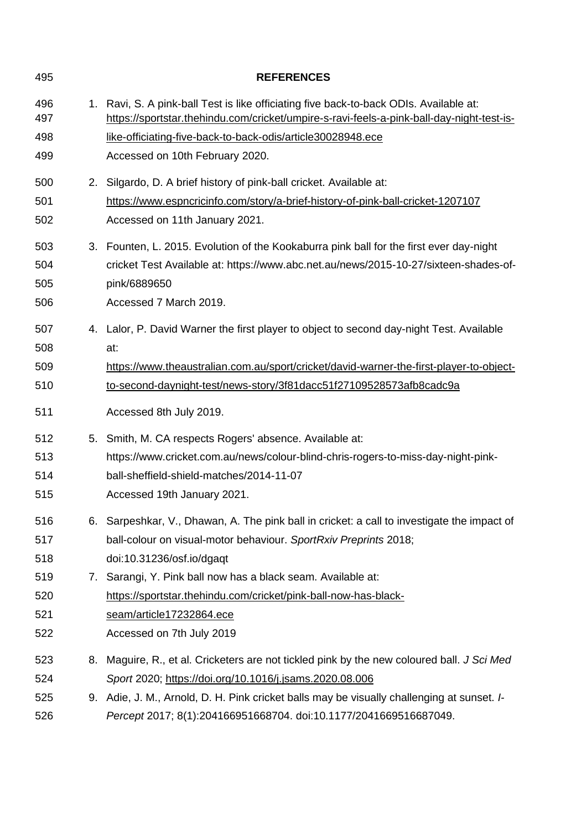| 495        | <b>REFERENCES</b>                                                                                                                                                                   |
|------------|-------------------------------------------------------------------------------------------------------------------------------------------------------------------------------------|
| 496<br>497 | 1. Ravi, S. A pink-ball Test is like officiating five back-to-back ODIs. Available at:<br>https://sportstar.thehindu.com/cricket/umpire-s-ravi-feels-a-pink-ball-day-night-test-is- |
| 498        | like-officiating-five-back-to-back-odis/article30028948.ece                                                                                                                         |
| 499        | Accessed on 10th February 2020.                                                                                                                                                     |
| 500        | 2. Silgardo, D. A brief history of pink-ball cricket. Available at:                                                                                                                 |
| 501        | https://www.espncricinfo.com/story/a-brief-history-of-pink-ball-cricket-1207107                                                                                                     |
| 502        | Accessed on 11th January 2021.                                                                                                                                                      |
| 503        | 3. Founten, L. 2015. Evolution of the Kookaburra pink ball for the first ever day-night                                                                                             |
| 504        | cricket Test Available at: https://www.abc.net.au/news/2015-10-27/sixteen-shades-of-                                                                                                |
| 505        | pink/6889650                                                                                                                                                                        |
| 506        | Accessed 7 March 2019.                                                                                                                                                              |
| 507        | 4. Lalor, P. David Warner the first player to object to second day-night Test. Available                                                                                            |
| 508        | at:                                                                                                                                                                                 |
| 509        | https://www.theaustralian.com.au/sport/cricket/david-warner-the-first-player-to-object-                                                                                             |
| 510        | to-second-daynight-test/news-story/3f81dacc51f27109528573afb8cadc9a                                                                                                                 |
| 511        | Accessed 8th July 2019.                                                                                                                                                             |
| 512        | 5. Smith, M. CA respects Rogers' absence. Available at:                                                                                                                             |
| 513        | https://www.cricket.com.au/news/colour-blind-chris-rogers-to-miss-day-night-pink-                                                                                                   |
| 514        | ball-sheffield-shield-matches/2014-11-07                                                                                                                                            |
| 515        | Accessed 19th January 2021.                                                                                                                                                         |
| 516        | 6. Sarpeshkar, V., Dhawan, A. The pink ball in cricket: a call to investigate the impact of                                                                                         |
| 517        | ball-colour on visual-motor behaviour. SportRxiv Preprints 2018;                                                                                                                    |
| 518        | doi:10.31236/osf.io/dgaqt                                                                                                                                                           |
| 519        | 7. Sarangi, Y. Pink ball now has a black seam. Available at:                                                                                                                        |
| 520        | https://sportstar.thehindu.com/cricket/pink-ball-now-has-black-                                                                                                                     |
| 521        | seam/article17232864.ece                                                                                                                                                            |
| 522        | Accessed on 7th July 2019                                                                                                                                                           |
| 523        | 8. Maguire, R., et al. Cricketers are not tickled pink by the new coloured ball. J Sci Med                                                                                          |
| 524        | Sport 2020; https://doi.org/10.1016/j.jsams.2020.08.006                                                                                                                             |
| 525        | 9. Adie, J. M., Arnold, D. H. Pink cricket balls may be visually challenging at sunset. I-                                                                                          |
| 526        | Percept 2017; 8(1):204166951668704. doi:10.1177/2041669516687049.                                                                                                                   |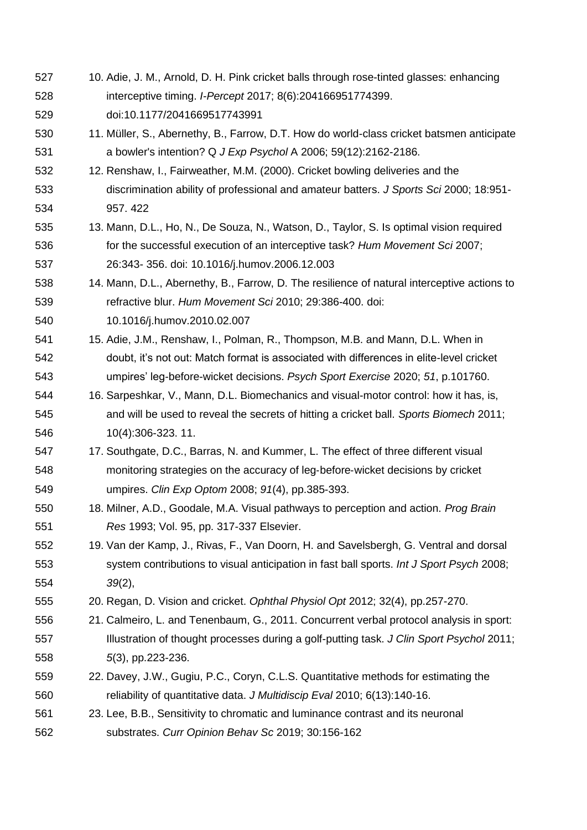- 10. Adie, J. M., Arnold, D. H. Pink cricket balls through rose-tinted glasses: enhancing interceptive timing. *I-Percept* 2017; 8(6):204166951774399. doi:10.1177/2041669517743991
- 11. Müller, S., Abernethy, B., Farrow, D.T. How do world-class cricket batsmen anticipate a bowler's intention? Q *J Exp Psychol* A 2006; 59(12):2162-2186.
- 12. Renshaw, I., Fairweather, M.M. (2000). Cricket bowling deliveries and the discrimination ability of professional and amateur batters. *J Sports Sci* 2000; 18:951- 957. 422
- 13. Mann, D.L., Ho, N., De Souza, N., Watson, D., Taylor, S. Is optimal vision required for the successful execution of an interceptive task? *Hum Movement Sci* 2007; 26:343- 356. doi: 10.1016/j.humov.2006.12.003
- 14. Mann, D.L., Abernethy, B., Farrow, D. The resilience of natural interceptive actions to refractive blur. *Hum Movement Sci* 2010; 29:386-400. doi:
- 10.1016/j.humov.2010.02.007
- 15. Adie, J.M., Renshaw, I., Polman, R., Thompson, M.B. and Mann, D.L. When in doubt, it's not out: Match format is associated with differences in elite-level cricket umpires' leg-before-wicket decisions. *Psych Sport Exercise* 2020; *51*, p.101760.
- 16. Sarpeshkar, V., Mann, D.L. Biomechanics and visual-motor control: how it has, is, and will be used to reveal the secrets of hitting a cricket ball. *Sports Biomech* 2011; 10(4):306-323. 11.
- 17. Southgate, D.C., Barras, N. and Kummer, L. The effect of three different visual monitoring strategies on the accuracy of leg‐before‐wicket decisions by cricket umpires. *Clin Exp Optom* 2008; *91*(4), pp.385-393.
- 18. Milner, A.D., Goodale, M.A. Visual pathways to perception and action. *Prog Brain Res* 1993; Vol. 95, pp. 317-337 Elsevier.
- 19. Van der Kamp, J., Rivas, F., Van Doorn, H. and Savelsbergh, G. Ventral and dorsal system contributions to visual anticipation in fast ball sports. *Int J Sport Psych* 2008; *39*(2),
- 20. Regan, D. Vision and cricket. *Ophthal Physiol Opt* 2012; 32(4), pp.257-270.
- 21. Calmeiro, L. and Tenenbaum, G., 2011. Concurrent verbal protocol analysis in sport: Illustration of thought processes during a golf-putting task. *J Clin Sport Psychol* 2011; *5*(3), pp.223-236.
- 22. Davey, J.W., Gugiu, P.C., Coryn, C.L.S. Quantitative methods for estimating the reliability of quantitative data. *J Multidiscip Eval* 2010; 6(13):140-16.
- 23. Lee, B.B., Sensitivity to chromatic and luminance contrast and its neuronal substrates. *Curr Opinion Behav Sc* 2019; 30:156-162